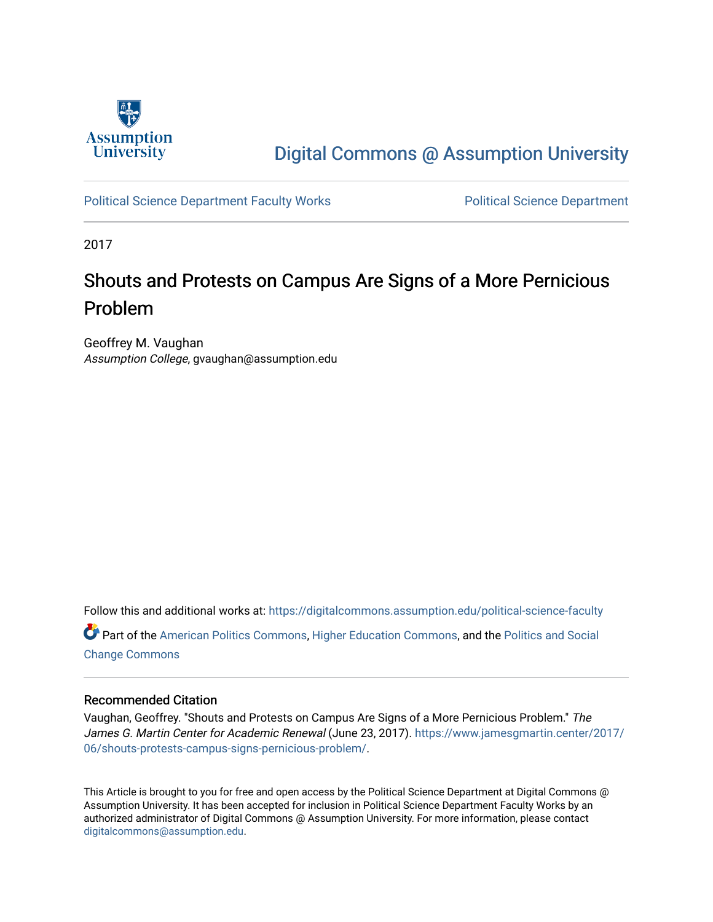

## [Digital Commons @ Assumption University](https://digitalcommons.assumption.edu/)

[Political Science Department Faculty Works](https://digitalcommons.assumption.edu/political-science-faculty) **Political Science Department** 

2017

# Shouts and Protests on Campus Are Signs of a More Pernicious Problem

Geoffrey M. Vaughan Assumption College, gvaughan@assumption.edu

Follow this and additional works at: [https://digitalcommons.assumption.edu/political-science-faculty](https://digitalcommons.assumption.edu/political-science-faculty?utm_source=digitalcommons.assumption.edu%2Fpolitical-science-faculty%2F37&utm_medium=PDF&utm_campaign=PDFCoverPages) Part of the [American Politics Commons,](http://network.bepress.com/hgg/discipline/387?utm_source=digitalcommons.assumption.edu%2Fpolitical-science-faculty%2F37&utm_medium=PDF&utm_campaign=PDFCoverPages) [Higher Education Commons,](http://network.bepress.com/hgg/discipline/1245?utm_source=digitalcommons.assumption.edu%2Fpolitical-science-faculty%2F37&utm_medium=PDF&utm_campaign=PDFCoverPages) and the [Politics and Social](http://network.bepress.com/hgg/discipline/425?utm_source=digitalcommons.assumption.edu%2Fpolitical-science-faculty%2F37&utm_medium=PDF&utm_campaign=PDFCoverPages) 

[Change Commons](http://network.bepress.com/hgg/discipline/425?utm_source=digitalcommons.assumption.edu%2Fpolitical-science-faculty%2F37&utm_medium=PDF&utm_campaign=PDFCoverPages)

#### Recommended Citation

Vaughan, Geoffrey. "Shouts and Protests on Campus Are Signs of a More Pernicious Problem." The James G. Martin Center for Academic Renewal (June 23, 2017). [https://www.jamesgmartin.center/2017/](https://www.jamesgmartin.center/2017/06/shouts-protests-campus-signs-pernicious-problem/) [06/shouts-protests-campus-signs-pernicious-problem/.](https://www.jamesgmartin.center/2017/06/shouts-protests-campus-signs-pernicious-problem/)

This Article is brought to you for free and open access by the Political Science Department at Digital Commons @ Assumption University. It has been accepted for inclusion in Political Science Department Faculty Works by an authorized administrator of Digital Commons @ Assumption University. For more information, please contact [digitalcommons@assumption.edu](mailto:digitalcommons@assumption.edu).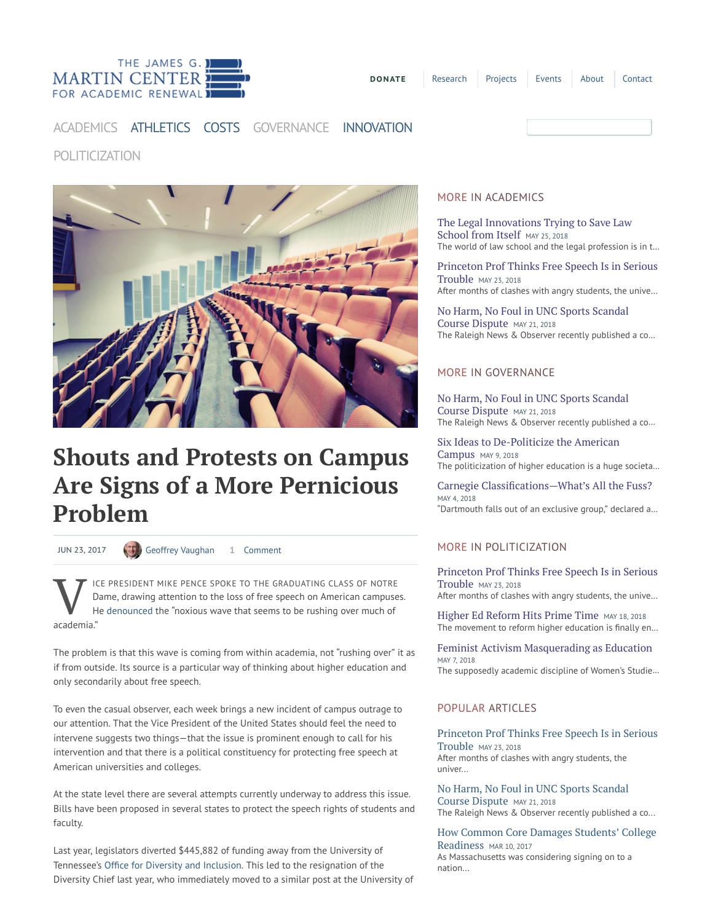

## [ACADEMICS](https://www.jamesgmartin.center/topic/academics/) [ATHLETICS](https://www.jamesgmartin.center/topic/athletics/) [COSTS](https://www.jamesgmartin.center/topic/costs/) [GOVERNANCE](https://www.jamesgmartin.center/topic/governance/) [INNOVATION](https://www.jamesgmartin.center/topic/innovation/)

## [POLITICIZATION](https://www.jamesgmartin.center/topic/politicization/)



# Shouts and Protests on Campus Are Signs of a More Pernicious Problem

JUN 23, 2017 (3) [Geoffrey Vaughan](https://www.jamesgmartin.center/author/geoffreyvaughan/) 1 [Comment](#page--1-0)

V Dame ICE PRESIDENT MIKE PENCE SPOKE TO THE GRADUATING CLASS OF NOTRE Dame, drawing attention to the loss of free speech on American campuses. He [denounced](http://time.com/4787520/mike-pence-university-of-notre-dame-commencement-graduation-2017/) the "noxious wave that seems to be rushing over much of academia."

The problem is that this wave is coming from within academia, not "rushing over" it as if from outside. Its source is a particular way of thinking about higher education and only secondarily about free speech.

To even the casual observer, each week brings a new incident of campus outrage to our attention. That the Vice President of the United States should feel the need to intervene suggests two things—that the issue is prominent enough to call for his intervention and that there is a political constituency for protecting free speech at American universities and colleges.

At the state level there are several attempts currently underway to address this issue. Bills have been proposed in several states to protect the speech rights of students and faculty.

Last year, legislators diverted \$445,882 of funding away from the University of Tennessee's Office for Diversity and Inclusion. This led to the resignation of the Diversity Chief last year, who immediately moved to a similar post at the University of

#### [MORE IN ACADEMICS](https://www.jamesgmartin.center/topic/academics/)

[The Legal Innovations Trying to Save Law](https://www.jamesgmartin.center/2018/05/the-legal-innovations-trying-to-save-law-school-from-itself/) School from Itself MAY 25, 2018 The world of law school and the legal profession is in t…

[Princeton Prof Thinks Free Speech Is in Serious](https://www.jamesgmartin.center/2018/05/princeton-prof-thinks-free-speech-is-in-serious-trouble/) Trouble MAY 23, 2018 After months of clashes with angry students, the unive…

[No Harm, No Foul in UNC Sports Scandal](https://www.jamesgmartin.center/2018/05/no-harm-no-foul-in-unc-sports-scandal-course-dispute/) Course Dispute MAY 21, 2018 The Raleigh News & Observer recently published a co…

#### [MORE IN GOVERNANCE](https://www.jamesgmartin.center/topic/governance/)

[No Harm, No Foul in UNC Sports Scandal](https://www.jamesgmartin.center/2018/05/no-harm-no-foul-in-unc-sports-scandal-course-dispute/) Course Dispute MAY 21, 2018 The Raleigh News & Observer recently published a co…

[Six Ideas to De-Politicize the American](https://www.jamesgmartin.center/2018/05/six-ideas-to-de-politicize-the-american-campus/) Campus MAY 9, 2018 The politicization of higher education is a huge societa…

Carnegie Classifications—What's All the Fuss? MAY 4, 2018 "Dartmouth falls out of an exclusive group," declared a…

#### [MORE IN POLITICIZATION](https://www.jamesgmartin.center/topic/politicization/)

[Princeton Prof Thinks Free Speech Is in Serious](https://www.jamesgmartin.center/2018/05/princeton-prof-thinks-free-speech-is-in-serious-trouble/) Trouble MAY 23, 2018 After months of clashes with angry students, the unive…

[Higher Ed Reform Hits Prime Time](https://www.jamesgmartin.center/2018/05/higher-ed-reform-hits-prime-time/) MAY 18, 2018 The movement to reform higher education is finally en...

[Feminist Activism Masquerading as Education](https://www.jamesgmartin.center/2018/05/feminist-activism-masquerading-as-education/) MAY 7, 2018 The supposedly academic discipline of Women's Studie…

#### POPULAR ARTICLES

[Princeton Prof Thinks Free Speech Is in Serious](https://www.jamesgmartin.center/2018/05/princeton-prof-thinks-free-speech-is-in-serious-trouble/) Trouble MAY 23, 2018 After months of clashes with angry students, the univer...

[No Harm, No Foul in UNC Sports Scandal](https://www.jamesgmartin.center/2018/05/no-harm-no-foul-in-unc-sports-scandal-course-dispute/) Course Dispute MAY 21, 2018 The Raleigh News & Observer recently published a co...

[How Common Core Damages Students' College](https://www.jamesgmartin.center/2017/03/common-core-damages-students-college-readiness/) Readiness MAR 10, 2017 As Massachusetts was considering signing on to a nation...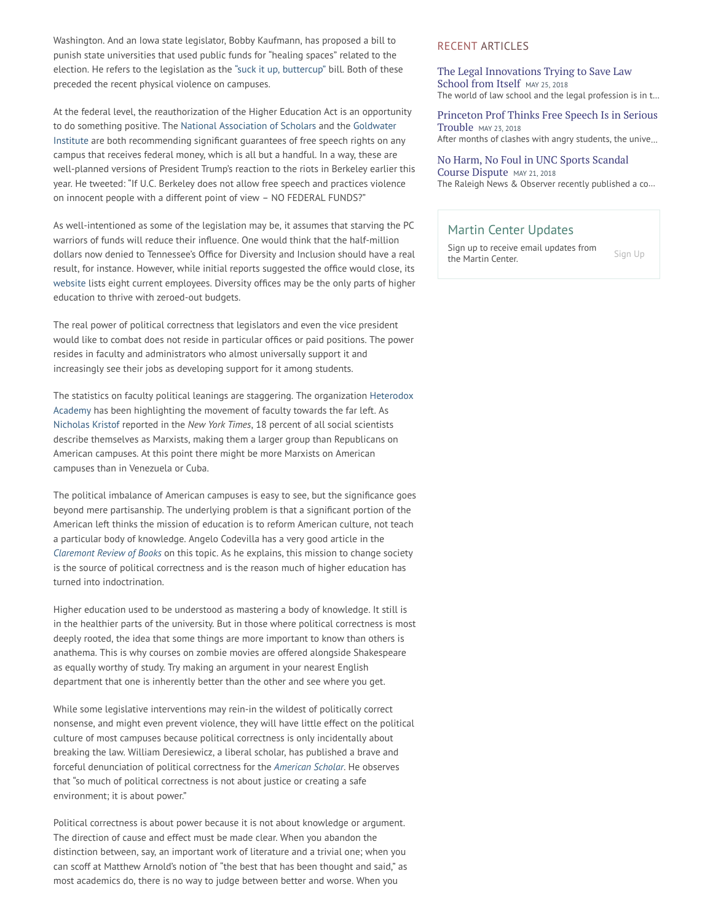Washington. And an Iowa state legislator, Bobby Kaufmann, has proposed a bill to punish state universities that used public funds for "healing spaces" related to the election. He refers to the legislation as the "suck it [up, buttercup"](https://www.washingtonpost.com/news/morning-mix/wp/2016/11/16/the-suck-it-up-buttercup-bill-iowa-lawmaker-targets-postelection-campus-hysteria/?utm_term=.8f28b14abc96) bill. Both of these preceded the recent physical violence on campuses.

At the federal level, the reauthorization of the Higher Education Act is an opportunity to do something positive. The National [Association](https://www.nas.org/articles/the_freedom_to_learn_amendments_2.0) of Scholars and the Goldwater Institute are both [recommending](https://goldwater-media.s3.amazonaws.com/cms_page_media/2017/2/2/X_Campus%252520Free%252520Speech%252520Paper.pdf) significant guarantees of free speech rights on any campus that receives federal money, which is all but a handful. In a way, these are well-planned versions of President Trump's reaction to the riots in Berkeley earlier this year. He tweeted: "If U.C. Berkeley does not allow free speech and practices violence on innocent people with a different point of view – NO FEDERAL FUNDS?"

As well-intentioned as some of the legislation may be, it assumes that starving the PC warriors of funds will reduce their influence. One would think that the half-million dollars now denied to Tennessee's Office for Diversity and Inclusion should have a real result, for instance. However, while initial reports suggested the office would close, its [website](http://oed.utk.edu/staff/) lists eight current employees. Diversity offices may be the only parts of higher education to thrive with zeroed-out budgets.

The real power of political correctness that legislators and even the vice president would like to combat does not reside in particular offices or paid positions. The power resides in faculty and administrators who almost universally support it and increasingly see their jobs as developing support for it among students.

The statistics on faculty political leanings are staggering. The [organization](http://heterodoxacademy.org/2016/01/09/professors-moved-left-but-country-did-not/) Heterodox Academy has been highlighting the movement of faculty towards the far left. As [Nicholas](http://www.nytimes.com/2016/05/08/opinion/sunday/a-confession-of-liberal-intolerance.html?_r=0) Kristof reported in the New York Times, 18 percent of all social scientists describe themselves as Marxists, making them a larger group than Republicans on American campuses. At this point there might be more Marxists on American campuses than in Venezuela or Cuba.

The political imbalance of American campuses is easy to see, but the significance goes beyond mere partisanship. The underlying problem is that a significant portion of the American left thinks the mission of education is to reform American culture, not teach a particular body of knowledge. Angelo Codevilla has a very good article in the [Claremont](http://www.claremont.org/download_pdf.php?file_name=1106Codevilla.pdf) Review of Books on this topic. As he explains, this mission to change society is the source of political correctness and is the reason much of higher education has turned into indoctrination.

Higher education used to be understood as mastering a body of knowledge. It still is in the healthier parts of the university. But in those where political correctness is most deeply rooted, the idea that some things are more important to know than others is anathema. This is why courses on zombie movies are offered alongside Shakespeare as equally worthy of study. Try making an argument in your nearest English department that one is inherently better than the other and see where you get.

While some legislative interventions may rein-in the wildest of politically correct nonsense, and might even prevent violence, they will have little effect on the political culture of most campuses because political correctness is only incidentally about breaking the law. William Deresiewicz, a liberal scholar, has published a brave and forceful denunciation of political correctness for the [American](https://theamericanscholar.org/on-political-correctness/%23.WL3LUm_ysnR) Scholar. He observes that "so much of political correctness is not about justice or creating a safe environment; it is about power."

Political correctness is about power because it is not about knowledge or argument. The direction of cause and effect must be made clear. When you abandon the distinction between, say, an important work of literature and a trivial one; when you can scoff at Matthew Arnold's notion of "the best that has been thought and said," as most academics do, there is no way to judge between better and worse. When you

#### RECENT ARTICLES

The Legal [Innovations](https://www.jamesgmartin.center/2018/05/the-legal-innovations-trying-to-save-law-school-from-itself/) Trying to Save Law School from Itself MAY 25, 2018 The world of law school and the legal profession is in t…

Princeton [Prof Thinks](https://www.jamesgmartin.center/2018/05/princeton-prof-thinks-free-speech-is-in-serious-trouble/) Free Speech Is in Serious Trouble MAY 23, <sup>2018</sup> After months of clashes with angry students, the unive…

No Harm, No Foul in UNC Sports [Scandal](https://www.jamesgmartin.center/2018/05/no-harm-no-foul-in-unc-sports-scandal-course-dispute/) Course Dispute MAY 21, <sup>2018</sup> The Raleigh News & Observer recently published a co…

#### Martin Center Updates

Sign up to receive email updates from the Martin Center.

[Sign](https://www.jamesgmartin.center/projects/newsletters/) Up